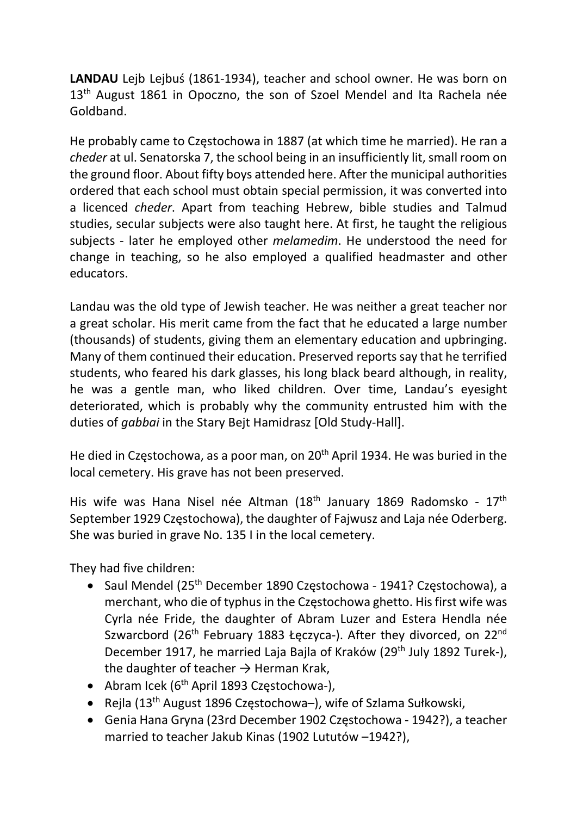LANDAU Lejb Lejbuś (1861-1934), teacher and school owner. He was born on 13<sup>th</sup> August 1861 in Opoczno, the son of Szoel Mendel and Ita Rachela née Goldband.

He probably came to Częstochowa in 1887 (at which time he married). He ran a cheder at ul. Senatorska 7, the school being in an insufficiently lit, small room on the ground floor. About fifty boys attended here. After the municipal authorities ordered that each school must obtain special permission, it was converted into a licenced cheder. Apart from teaching Hebrew, bible studies and Talmud studies, secular subjects were also taught here. At first, he taught the religious subjects - later he employed other melamedim. He understood the need for change in teaching, so he also employed a qualified headmaster and other educators.

Landau was the old type of Jewish teacher. He was neither a great teacher nor a great scholar. His merit came from the fact that he educated a large number (thousands) of students, giving them an elementary education and upbringing. Many of them continued their education. Preserved reports say that he terrified students, who feared his dark glasses, his long black beard although, in reality, he was a gentle man, who liked children. Over time, Landau's eyesight deteriorated, which is probably why the community entrusted him with the duties of gabbai in the Stary Bejt Hamidrasz [Old Study-Hall].

He died in Częstochowa, as a poor man, on 20<sup>th</sup> April 1934. He was buried in the local cemetery. His grave has not been preserved.

His wife was Hana Nisel née Altman (18<sup>th</sup> January 1869 Radomsko - 17<sup>th</sup> September 1929 Częstochowa), the daughter of Fajwusz and Laja née Oderberg. She was buried in grave No. 135 I in the local cemetery.

They had five children:

- Saul Mendel ( $25<sup>th</sup>$  December 1890 Częstochowa 1941? Częstochowa), a merchant, who die of typhus in the Częstochowa ghetto. His first wife was Cyrla née Fride, the daughter of Abram Luzer and Estera Hendla née Szwarcbord (26<sup>th</sup> February 1883 Łęczyca-). After they divorced, on 22<sup>nd</sup> December 1917, he married Laja Bajla of Kraków (29<sup>th</sup> July 1892 Turek-), the daughter of teacher  $\rightarrow$  Herman Krak,
- Abram Icek (6<sup>th</sup> April 1893 Czestochowa-).
- Rejla ( $13<sup>th</sup>$  August 1896 Częstochowa–), wife of Szlama Sułkowski,
- Genia Hana Gryna (23rd December 1902 Częstochowa 1942?), a teacher married to teacher Jakub Kinas (1902 Lututów –1942?),